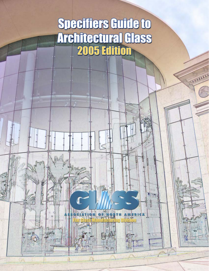# **Specifiers Guide to Architectural Glass**

15

TABARAN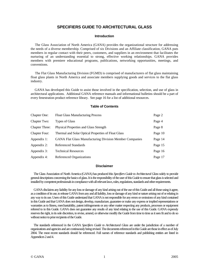# **SPECIFIERS GUIDE TO ARCHITECTURAL GLASS**

#### **Introduction**

 The Glass Association of North America (GANA) provides the organizational structure for addressing the needs of a diverse membership. Comprised of six Divisions and an Affiliate classification, GANA puts members in regular contact with their peers, customers, and suppliers in an environment that facilitates the nurturing of an understanding essential to strong, effective working relationships. GANA provides members with premiere educational programs, publications, networking opportunities, meetings, and conventions.

 The Flat Glass Manufacturing Division (FGMD) is comprised of manufacturers of flat glass maintaining float glass plants in North America and associate members supplying goods and services to the flat glass industry.

 GANA has developed this Guide to assist those involved in the specification, selection, and use of glass in architectural applications. Additional GANA reference manuals and informational bulletins should be a part of every fenestration product reference library. See page 16 for a list of additional resources.

#### **Table of Contents**

| <b>Chapter One:</b>   | <b>Float Glass Manufacturing Process</b>                       | Page 2  |
|-----------------------|----------------------------------------------------------------|---------|
| Chapter Two:          | <b>Types of Glass</b>                                          | Page 4  |
| <b>Chapter Three:</b> | Physical Properties and Glass Strength                         | Page 8  |
| <b>Chapter Four:</b>  | Thermal and Solar Optical Properties of Float Glass            | Page 10 |
| Appendix 1:           | <b>GANA Flat Glass Manufacturing Division Member Companies</b> | Page 14 |
| Appendix 2:           | Referenced Standards                                           | Page 15 |
| Appendix 3:           | <b>Technical Resources</b>                                     | Page 16 |
| Appendix 4:           | Referenced Organizations                                       | Page 17 |

#### **Disclaimer**

 The Glass Association of North America (GANA) has produced this *Specifiers Guide to Architectural Glass* solely to provide general descriptions concerning the basics of glass. It is the responsibility of the user of this Guide to ensure that glass is selected and installed by competent professionals in compliance with all relevant laws, rules, regulations, standards and other requirements.

 GANA disclaims any liability for any loss or damage of any kind arising out of the use of this Guide and all those using it agree, as a condition of its use, to release GANA from any and all liability, loss or damage of any kind or nature arising out of or relating in any way to its use. Users of this Guide understand that GANA is not responsible for any errors or omissions of any kind contained in this Guide and that GANA does not design, develop, manufacture, guarantee or make any express or implied representations or warranties as to fitness, merchantability, patent infringements or any other matter respecting any products, processes or equipment referred to in this Guide. GANA does not guarantee any results of any kind relating to the use of this Guide. GANA expressly reserves the right, in its sole discretion, to revise, amend, or otherwise modify the Guide from time to time as it sees fit and to do so without notice to prior recipients of the Guide.

 The standards referenced in the GANA *Specifiers Guide to Architectural Glass* are under the jurisdiction of a number of organizations and agencies and are continuously being revised. The documents referenced in this Guide are those in effect as of July 2004. The most recent standards should be referenced. Full names of reference standards and publishing entities are listed in Appendices 2 and 4.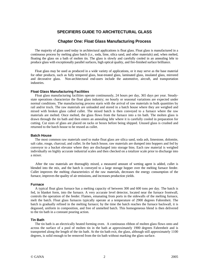# **SPECIFIERS GUIDE TO ARCHITECTURAL GLASS**

# **Chapter One: Float Glass Manufacturing Process**

 The majority of glass used today in architectural applications is float glass. Float glass is manufactured in a continuous process by melting glass batch (*i.e.,* soda, lime, silica sand, and other materials) and, when melted, floating the glass on a bath of molten tin. The glass is slowly and carefully cooled in an annealing lehr to produce glass with exceptionally parallel surfaces, high optical quality, and fire-finished surface brilliance.

 Float glass may be used as produced in a wide variety of applications, or it may serve as the base material for other products, such as fully tempered glass, heat-treated glass, laminated glass, insulated glass, mirrored and decorative glass. Non-architectural end-users include the automotive, aircraft, and transportation industries.

#### **Float Glass Manufacturing Facilities**

 Float glass manufacturing facilities operate continuously, 24 hours per day, 365 days per year. Steadystate operations characterize the float glass industry; no hourly or seasonal variations are expected under normal conditions. The manufacturing process starts with the arrival of raw materials in bulk quantities by rail and/or truck. The raw materials are unloaded and stored in a batch house where they are weighed and mixed with broken glass called cullet. The mixed batch is then conveyed to a furnace where the raw materials are melted. Once melted, the glass flows from the furnace into a tin bath. The molten glass is drawn through the tin bath and then enters an annealing lehr where it is carefully cooled in preparation for cutting. Cut sizes of glass are placed on racks or boxes before being shipped. Unused glass is crushed and returned to the batch house to be reused as cullet.

#### **Batch House**

 The most common raw materials used to make float glass are silica sand, soda ash, limestone, dolomite, salt cake, rouge, charcoal, and cullet. In the batch house, raw materials are dumped into hoppers and fed by conveyor to a bucket elevator where they are discharged into storage bins. Each raw material is weighed individually on highly accurate industrial scales and then checked on a totalizer scale prior to discharge into a mixer.

 After the raw materials are thoroughly mixed, a measured amount of wetting agent is added, cullet is blended into the mix, and the batch is conveyed to a large storage hopper over the melting furnace feeder. Cullet improves the melting characteristics of the raw materials, decreases the energy consumption of the furnace, improves the quality of air emissions, and increases production yields.

#### **Furnace**

 A typical float glass furnace has a melting capacity of between 300 and 600 tons per day. The batch is fed, in blanket form, into the furnace. A very accurate level detector, located near the furnace frontwall, controls the operation of the feeder. Flames, emanating from ports in the sidewalls of the melting furnace, melt the batch. Float glass furnaces typically operate at a temperature of 2900 degrees Fahrenheit. The batch is gradually refined in the melting furnace; by the time the batch reaches the furnace backwall, it is degassed, uniform in composition, and free of unmelted batch. This homogeneous blend is then delivered to the tin bath in a constant pouring action.

# **Tin Bath**

 The tin bath is an electrically heated forming oven. A continuous ribbon of molten glass flows onto and across the surface of a pool of molten tin in the bath at approximately 1900 degrees Fahrenheit and is transported along the length of the tin bath. At the tin bath exit, the glass, although still approximately 1100 degrees, is solid enough to be removed from the tin bath without marking the glass surface.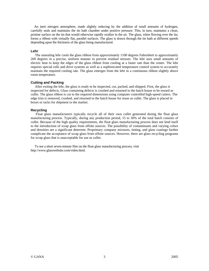An inert nitrogen atmosphere, made slightly reducing by the addition of small amounts of hydrogen, carefully seals and maintains the tin bath chamber under positive pressure. This, in turn, maintains a clean, pristine surface on the tin that would otherwise rapidly oxidize in the air. The glass, when flowing over the tin, forms a ribbon with virtually flat, parallel surfaces. The glass is drawn through the tin bath at different speeds depending upon the thickness of the glass being manufactured.

#### **Lehr**

 The annealing lehr cools the glass ribbon from approximately 1100 degrees Fahrenheit to approximately 200 degrees in a precise, uniform manner to prevent residual stresses. The lehr uses small amounts of electric heat to keep the edges of the glass ribbon from cooling at a faster rate than the center. The lehr requires special rolls and drive systems as well as a sophisticated temperature control system to accurately maintain the required cooling rate. The glass emerges from the lehr in a continuous ribbon slightly above room temperature.

#### **Cutting and Packing**

 After exiting the lehr, the glass is ready to be inspected, cut, packed, and shipped. First, the glass is inspected for defects. Glass containing defects is crushed and returned to the batch house to be reused as cullet. The glass ribbon is cut to the required dimensions using computer controlled high-speed cutters. The edge trim is removed, crushed, and returned to the batch house for reuse as cullet. The glass is placed in boxes or racks for shipment to the market.

#### **Recycling**

 Float glass manufacturers typically recycle all of their own cullet generated during the float glass manufacturing process. Typically, during any production period, 15 to 30% of the total batch consists of cullet. Because of the high quality requirements, the float glass manufacturing process does not lend itself to the introduction of scrap glass from offsite sources. The possibility of contaminants and varying colors and densities are a significant deterrent. Proprietary company mixtures, tinting, and glass coatings further complicate the acceptance of scrap glass from offsite sources. However, there are glass recycling programs for scrap glass that is unacceptable for use as cullet.

 To see a short seven-minute film on the float glass manufacturing process, visit http://www.glasswebsite.com/video.html.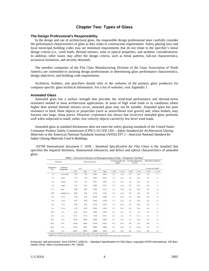# **Chapter Two: Types of Glass**

#### **The Design Professional's Responsibility**

 In the design and use of architectural glass, the responsible design professional must carefully consider the performance characteristics of glass as they relate to construction requirements. Safety glazing laws and local municipal building codes may set minimum requirements that do not relate to the specifier's initial design criteria (i.e., wind loads, thermal stresses, solar or optical properties, and aesthetic considerations). In addition, other issues may affect the design criteria, such as break patterns, fall-out characteristics, acoustical insulation, and security demands.

 The member companies of the Flat Glass Manufacturing Division of the Glass Association of North America are committed to assisting design professionals in determining glass performance characteristics, design objectives, and building code requirements.

 Architects, builders, and specifiers should refer to the websites of the primary glass producers for company-specific glass technical information. For a list of websites, visit Appendix 1.

#### **Annealed Glass**

 Annealed glass has a surface strength that provides the wind-load performance and thermal-stress resistance needed in most architectural applications. In areas of high wind loads or in conditions where higher than normal thermal stresses occur, annealed glass may not be suitable. Annealed glass has poor resistance to hard, blunt objects or projectiles (such as storm-blown roof gravel) and, when broken, may fracture into large, sharp pieces. However, experience has shown that in-service annealed glass performs well when subjected to small, softer, low-velocity objects carried by low-level wind loads.

 Annealed glass in standard thicknesses does not meet the safety glazing standards of the United States Consumer Product Safety Commission (CPSC) 16 CFR 1201 - *Safety Standard for Architectural Glazing Materials* or the American National Standards Institute (ANSI) Z97.1 - *American National Standard for Safety Glazing Materials Used in Buildings*.

 ASTM International document C 1036 - *Standard Specification for Flat Glass* is the standard that specifies the required thickness, dimensional tolerances, and defect and optical characteristics of annealed glass.

| Thickness         |                            | Thickness Range |       |       | Cut Size Length and<br>Width <sup>4</sup> |        | Cut Size Squareness<br>$D1-D2$ |        | Stock Sheet Tolerance |        |                               |
|-------------------|----------------------------|-----------------|-------|-------|-------------------------------------------|--------|--------------------------------|--------|-----------------------|--------|-------------------------------|
| Designation<br>mm | Traditional<br>Designation | mm              |       | in.   |                                           |        |                                |        |                       |        | Length and Width <sup>4</sup> |
|                   |                            | min             | max   | min   | max                                       | $±$ mm | $(\pm in.)$                    | $±$ mm | $( \pm in.)$          | $±$ mm | $(\pm in.)$                   |
| 1.0               | micro-slide                | 0.79            | 1.24  | 0.031 | 0.049                                     | 1.6    | $(Y_{10})$                     | 2.0    | (56a)                 | 6.4    | $\frac{1}{4}$                 |
| 1.5               | photo                      | 1.27            | 1.78  | 0.050 | 0.070                                     | 1.6    | $(Y_{16})$                     | 2.0    | (96a)                 | 6.4    | V4                            |
| 2.0               | picture                    | 1,80            | 2.13  | 0.071 | 0.084                                     | 1.6    | (Y <sub>10</sub> )             | 2.0    | (%4)                  | 6.4    | $\frac{1}{4}$                 |
| 2.5               | single                     | 2.16            | 2.57  | 0.085 | 0.101                                     | 1.6    | $(Y_{16})$                     | 2.0    | (964)                 | 6.4    | $\frac{1}{4}$                 |
| 2.7               | lami                       | 2.59            | 2.90  | 0.102 | 0.114                                     | 1.6    | $(Y_{16})$                     | 2.0    | (564)                 | 6.4    | $\frac{1}{4}$                 |
| 3.0 <sup>B</sup>  | double-1/6 in.             | 2.92            | 3.40  | 0.115 | 0.134                                     | 1.6    | $(V_{16})$                     | 2.0    | (56a)                 | 6.4    | $\frac{1}{4}$                 |
| 4.0               | %2 in.                     | 3.78            | 4.19  | 0.149 | 0.165                                     | 1.6    | $(V_{16})$                     | 2.0    | (964)                 | 6.4    | $\frac{1}{4}$                 |
| 5.0               | Yie in.                    | 4.57            | 5.05  | 0.180 | 0.199                                     | 1.6    | $(Y_{16})$                     | 2.0    | (%4)                  | 6.4    | $\frac{1}{4}$                 |
| 6.0               | 1/ <sub>4</sub> in.        | 5.56            | 6.20  | 0.219 | 0.244                                     | 1.6    | $(V_{16})$                     | 2.0    | (564)                 | 6.4    | $\frac{1}{2}$                 |
| 8.0               | Vie in.                    | 7.42            | 8.43  | 0.292 | 0.332                                     | 2.0    | (56s)                          | 2.8    | (76a)                 | 6.4    | $\frac{1}{4}$                 |
| 10.0              | 36 in.                     | 9.02            | 10.31 | 0.355 | 0.406                                     | 2.4    | (3/32)                         | 3.4    | (3/6)                 | 6.4    | $\frac{1}{4}$                 |
| 12.0              | 1/2 in.                    | 11.91           | 13.49 | 0.469 | 0.531                                     | 3.2    | (36)                           | 4.5    | (11/64)               | 6.4    | $\mathcal{V}_4$               |
| 16.0              | % in.                      | 15.09           | 16.66 | 0.595 | 0.656                                     | 4.0    | (1/32)                         | 5.7    | (1/32)                | 6.4    | $\frac{1}{4}$                 |
| 19.0              | 3/4 in.                    | 18.26           | 19.84 | 0.719 | 0.781                                     | 4.8    | (3/10)                         | 6.8    | $(y_4)$               | 6.4    | $\frac{1}{4}$                 |
| 22.0              | % in.                      | 21.44           | 23.01 | 0.844 | 0.906                                     | 5.6    | (7/32)                         | 7.9    | (1964)                | 6.4    | $1/4$                         |
| 25.0              | $1$ in.                    | 24.61           | 26.19 | 0.969 | 1.031                                     | 6.4    | (3/4)                          | 9.0    | $(1\frac{1}{32})$     | 6.4    | $\frac{1}{4}$                 |

<sup>A</sup>Length and width of cut size and stock sheets of flat glass include flares and bevels.<br><sup>@</sup>Within the 3.0 designation there are some applications that may require different thickness ranges (see manufacturer).

Extracted, with permission, from ASTM C 1036-01 – Standard Specification for Flat Glass, copyright ASTM International, 100 Barr Harbor Drive, West Conshohocken, PA 19428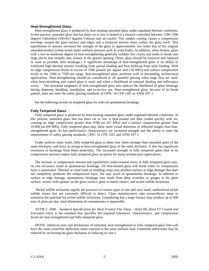#### **Heat-Strengthened Glass**

 Heat-strengthened glass is produced by heat-treating annealed glass under regulated thermal conditions. In this process, annealed glass that has been cut to size is heated in a furnace controlled between 1100-1500 degrees Fahrenheit (593-815 degrees Celsius) and air-cooled. This sudden cooling causes a compression envelope around the glass surface and edges and a balanced tension stress within the glass itself. This equilibrium of stresses increases the strength of the glass to approximately two times that of the original annealed product (when tested under uniform pressure such as wind loads). In addition, when broken, glass with a low-to-moderate degree of heat-strengthening generally exhibits few cracks and tends to break into large pieces that initially may remain in the glazed opening. (Note: glass should be removed and replaced as soon as possible after breakage.) A significant advantage of heat-strengthened glass is its ability to withstand high thermal stresses resulting from partial shading and heat build-up from solar loading. With its edge compression levels in excess of 5500 pounds per square inch (38 MPa) and surface compression levels in the 3500 to 7500 psi range, heat-strengthened glass performs well in demanding architectural applications. Heat-strengthening should be considered in all spandrel glazing when large lites are used, when heat-absorbing and coated glass is used, and when a likelihood of external shading and reflectance exists. The increased toughness of heat-strengthened glass also reduces the likelihood of glass breakage during shipment, handling, installation, and in-service use. Heat-strengthened glass, because of its break pattern, does not meet the safety glazing standards of CPSC 16 CFR 1201 or ANSI Z97.1.

See the following section on tempered glass for notes on spontaneous breakage.

#### **Fully Tempered Glass**

 Fully tempered glass is produced by heat-treating annealed glass under regulated thermal conditions. In this process, annealed glass that has been cut to size is heat-treated and then cooled quickly with air, creating an edge compression greater than 9700 psi (67 MPa) and a surface compression greater than 10,000 psi (69 MPa). Fully tempered glass may show more visual distortion of reflected images than heatstrengthened glass. Its key performance characteristics are increased strength and the ability to meet the requirements of safety glazing standards, CPSC 16 CFR 1201 and ANSI Z97.1.

 Under uniform static loads, fully tempered glass is about four times stronger than annealed glass of the same thickness, and twice as strong as heat-strengthened glass of the same thickness. It also has significant resistance to breakage from blunt projectiles. The increased strength of fully tempered glass (due to its compression stresses) makes fully tempered glass an option for many architectural applications.

 The increase in compression stresses and equilibrium center-tension stress in fully tempered glass may, on rare occasion, result in spontaneous breakage. All heat-treated glass will break when its compression layer is penetrated. Thermal or wind loads or building creep may produce surface or edge damage that does not completely penetrate the compression layer, but may result in spontaneous breakage. In addition to surface or edge damage, spontaneous breakage may result from deep scratches or gouges in the glass surface; severe weld splatter on the glass surface; glass to metal contact; and nickel sulfide inclusions.

 Nickel sulfide inclusions signify the presence of certain types of rare and very small, undissolved nickel sulfide stones that are extremely difficult to detect. Glass manufacturers take extraordinary steps to minimize the potential for nickel sulfide inclusions. Considering that a large furnace may produce up to 600 tons of glass per day, total elimination of contaminants is impossible.

 ASTM C 1048 - *Standard Specification for Heat-Treated Flat Glass – Kind HS, Kind FT Coated and Uncoated Glass* is the standard that specifies the required tolerances, characteristics, and compression levels for heat-strengthened and fully tempered glass.

 (NOTE: Identical sizes and thicknesses of annealed, heat-strengthened or fully tempered glass lites will have the same centerline deflection when exposed to the same uniform load. Centerline deflections may be reduced by increasing the glass thickness or reducing its size.)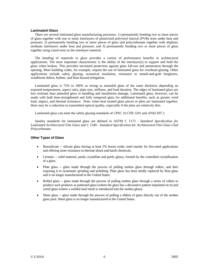#### **Laminated Glass**

 There are several laminated glass manufacturing processes: 1) permanently bonding two or more pieces of glass together with one or more interlayers of plasticized polyvinyl butyral (PVB) resin under heat and pressure; 2) permanently bonding two or more pieces of glass and polycarbonate together with aliphatic urethane interlayers under heat and pressure; and 3) permanently bonding two or more pieces of glass together using cured resin as the interlayer material.

 The bonding of materials to glass provides a variety of performance benefits in architectural applications. The most important characteristic is the ability of the interlayer(s) to support and hold the glass when broken. This provides increased protection against glass fall-out and penetration through the opening. Most building codes, for example, require the use of laminated glass for overhead glazing. Other applications include safety glazing, acoustical insulation, resistance to smash-and-grab burglaries, windborne debris, bullets, and blast hazard mitigation.

 Laminated glass is 75% to 100% as strong as annealed glass of the same thickness depending on exposed temperatures, aspect ratio, plate size, stiffness, and load duration. The edges of laminated glass are less resistant than annealed glass to handling and installation damage. Laminated glass, however, can be made with both heat-strengthened and fully tempered glass for additional benefits, such as greater wind load, impact, and thermal resistance. Note: when heat treated glass pieces or plies are laminated together, there may be a reduction in transmitted optical quality, especially if the plies are relatively thin.

Laminated glass can meet the safety glazing standards of CPSC 16 CFR 1201 and ANSI Z97.1.

 Quality standards for laminated glass are defined in ASTM C 1172 - *Standard Specification for Laminated Architectural Flat Glass* and C 1349 - *Standard Specification for Architectural Flat Glass Clad Polycarbonate*.

#### **Other Types of Glass**

- Borosilicate -- silicate glass having at least 5% boron oxide; used mainly for fire-rated applications and offering more resistance to thermal shock and harsh chemicals.
- Ceramic -- solid material, partly crystalline and partly glassy, formed by the controlled crystallization of a glass.
- Plate glass -- glass made through the process of pulling molten glass through rollers, and then exposing it to systematic grinding and polishing. Plate glass has been totally replaced by float glass and is no longer manufactured in the United States.
- Rolled glass -- glass made through the process of pulling molten glass through a series of rollers to produce such products as patterned glass (where the glass has a decorative pattern imprinted on it) and wired glass (where a welded steel mesh is introduced into the molten glass).
- Sheet glass -- glass made through the process of pulling a ribbon of glass directly out of the molten glass pool. Sheet glass is no longer manufactured in the United States.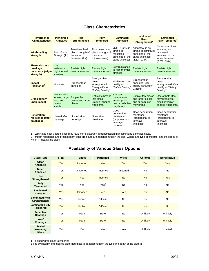# **Glass Characteristics**

| <b>Performance</b><br><b>Characteristics</b>                        | <b>Monolithic</b><br>Annealed                                  | Heat-<br><b>Strengthened</b>                                       | <b>Fully</b><br><b>Tempered</b>                                               | Laminated<br><b>Annealed</b>                                                        | <b>Laminated</b><br>Heat-<br>Strengthened <sup>1</sup>                                         | Laminated<br><b>Fully Tempered<sup>1</sup></b>                                                         |
|---------------------------------------------------------------------|----------------------------------------------------------------|--------------------------------------------------------------------|-------------------------------------------------------------------------------|-------------------------------------------------------------------------------------|------------------------------------------------------------------------------------------------|--------------------------------------------------------------------------------------------------------|
| <b>Wind-loading</b><br>strength                                     | <b>Basic Glass</b><br>Strength (1x)                            | Two times basic<br>glass strength of<br>the same<br>thickness (2X) | Four times basic<br>glass strength of<br>the same<br>thickness (4X)           | 75% - 100% as<br>strong as<br>monolithic<br>annealed of the<br>same thickness       | Almost twice as<br>strong as laminated<br>annealed of the<br>same thickness<br>$(1.5X - 1.8X)$ | Almost four times<br>as strong as<br>laminated<br>annealed of the<br>same thickness<br>$(3.0X - 3.6X)$ |
| <b>Thermal stress</b><br>breakage<br>resistance (edge-<br>strength) | Low<br>resistance to<br>high thermal<br>stresses               | Resists high<br>thermal stresses                                   | Resists high<br>thermal stresses                                              | Low resistance<br>to high thermal<br><b>stresses</b>                                | Resists high<br>thermal stresses                                                               | <b>Resists high</b><br>thermal stresses                                                                |
| <b>Impact</b><br>Resistance <sup>2</sup>                            | Moderate                                                       | Stronger than<br>annealed                                          | Stronger than<br>heat-<br>strengthened.<br>Can qualify as<br>"Safety Glazing" | Moderate, Can<br>qualify as<br>"Safety Glazing"                                     | Stronger than<br>annealed. Can<br>qualify as "Safety<br>Glazing"                               | Stronger than<br>heat-<br>strengthened. Can<br>qualify as "Safety<br>Glazing"                          |
| <b>Break pattern</b><br>upon impact                                 | Many cracks<br>forming large.<br>long, and<br>narrow<br>shards | Simple, few<br>cracks and larger<br>pieces                         | Entire lite breaks<br>into small,<br>irregular shaped<br>fragments.           | <b>Starburst</b><br>pattern from<br>impact point.<br>one or both lites<br>may break | Simple, few cracks<br>and larger pieces.<br>one or both lites<br>may break                     | One or both lites<br>may break into<br>small, irregular<br>shaped fragments.                           |
| <b>Penetration</b><br>resistance (after<br>breakage)                | Limited after<br>breakage                                      | Limited after<br>breakage                                          | None after<br>breakage                                                        | Good<br>penetration<br>resistance<br>(proportional to<br>interlayer<br>thickness)   | Good penetration<br>resistance<br>(proportional to<br>interlayer<br>thickness)                 | Good penetration<br>resistance<br>(proportional to<br>interlayer<br>thickness)                         |

1 - Laminated heat-treated glass may have more distortion in transmission than laminated annealed glass.

2 - Impact resistance and break pattern after breakage are dependent upon the size, weight and type of impactor and the speed at which it impacts the glass.

# **Availability of Various Glass Options**

| <b>Glass Type</b>                            | <b>Float</b> | <b>Sheet</b> | <b>Patterned</b> | <b>Wired</b>     | <b>Ceramic</b>  | <b>Borosilicate</b> |
|----------------------------------------------|--------------|--------------|------------------|------------------|-----------------|---------------------|
| Clear<br>Annealed                            | <b>Yes</b>   | Imported     | Yes              | Yes <sup>1</sup> | <b>Yes</b>      | <b>Yes</b>          |
| <b>Tinted</b><br>Annealed                    | Yes          | Imported     | Imported         | Imported         | No              | <b>No</b>           |
| Heat<br><b>Strengthened</b>                  | Yes          | <b>Yes</b>   | Imported         | <b>No</b>        | <b>No</b>       | <b>Yes</b>          |
| <b>Fully</b><br><b>Tempered</b>              | Yes          | Yes          | Yes <sup>2</sup> | <b>No</b>        | <b>No</b>       | <b>No</b>           |
| Laminated<br><b>Annealed</b>                 | <b>Yes</b>   | Imported     | Yes              | <b>Yes</b>       | <b>No</b>       | <b>No</b>           |
| <b>Laminated Heat</b><br><b>Strengthened</b> | Yes          | Limited      | <b>Difficult</b> | <b>No</b>        | No              | <b>No</b>           |
| <b>Laminated Fully</b><br><b>Tempered</b>    | Yes          | Limited      | <b>Difficult</b> | <b>No</b>        | <b>No</b>       | <b>No</b>           |
| <b>Reflective</b><br><b>Coatings</b>         | Yes          | Rare         | Rare             | <b>No</b>        | Unlikely        | Unlikely            |
| Low-E<br><b>Coatings</b>                     | <b>Yes</b>   | Rare         | Rare             | <b>No</b>        | <b>Unlikely</b> | <b>Unlikely</b>     |
| <b>Sealed</b><br>Insulating<br><b>Glass</b>  | Yes          | Yes          | Yes              | Yes              | Unlikely        | Limited             |

**1** Polished wired glass is imported

**2** The availability of tempered patterned glass is dependent upon the type and depth of the pattern.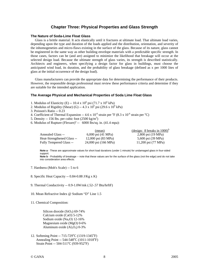# **Chapter Three: Physical Properties and Glass Strength**

#### **The Nature of Soda-Lime Float Glass**

 Glass is a brittle material. It acts elastically until it fractures at ultimate load. That ultimate load varies, depending upon the type and duration of the loads applied and the distribution, orientation, and severity of the inhomogeneties and micro-flaws existing in the surface of the glass. Because of its nature, glass cannot be engineered in the same way as other building envelope materials with a predictable specific strength. In those cases, factors can be (and are) assigned to minimize the likelihood that breakage will occur at the selected design load. Because the ultimate strength of glass varies, its strength is described statistically. Architects and engineers, when specifying a design factor for glass in buildings, must choose the anticipated wind load, its duration, and the probability of glass breakage (defined as x per 1000 lites of glass at the initial occurrence of the design load).

 Glass manufacturers can provide the appropriate data for determining the performance of their products. However, the responsible design professional must review these performance criteria and determine if they are suitable for the intended application.

#### **The Average Physical and Mechanical Properties of Soda Lime Float Glass**

- 1. Modulus of Elasticity (E) -- 10.4 x  $10^6$  psi (71.7 x  $10^6$  kPa)
- 2. Modulus of Rigidity (Shear) (G)  $-4.3 \times 10^6$  psi (29.6 x 10<sup>6</sup> kPa)
- 3. Poisson's Ratio -- 0.23
- 4. Coefficient of Thermal Expansion -- 4.6 x  $10^{-6}$  strain per  $\rm{P}F(8.3 \times 10^{-6}$  strain per  $\rm{P}C$ )
- 5. Density -- 156 lbs. per cubic foot  $(2500 \text{ kg/m}^3)$
- 6. Modulus of Rupture (Flexure)<sup>a</sup> -- 6000 lbs/sq. in.  $(41.4 \text{ mpa})$ :

|                                | (mean)                       | (design: 8 breaks in $1000$ ) <sup>o</sup> |
|--------------------------------|------------------------------|--------------------------------------------|
| Annealed Glass --              | 6,000 psi $(41 \text{ MPa})$ | 2,800 psi (19 MPa)                         |
| Heat-Strengthened Glass --     | 12,000 psi (83 MPa)          | 5,600 psi (39 MPa)                         |
| <b>Fully Tempered Glass --</b> | 24,000 psi (166 MPa)         | 11,200 psi (77 MPa)                        |

**Note a** - These are approximate values for short load durations (under 1 minute) for undamaged glass in four-sided support.

Note b - Probability of breakage -- note that these values are for the surface of the glass (not the edge) and do not take into consideration area effects.

- 7. Hardness (Moh's Scale) -- 5 to 6
- 8. Specific Heat Capacity -- 0.84-0.88 J/Kg x K)
- 9. Thermal Conductivity -- 0.9-1.0W/mk (.52-.57 Btu/hrftF)
- 10. Mean Refractive Index @ Sodium "D" Line 1.5
- 11. Chemical Composition:

Silicon dioxide  $(SiO<sub>2</sub>)$  69-74% Calcium oxide (CaO) 5-12% Sodium oxide  $(Na<sub>2</sub>O)$  12-16% Magnesium oxide (MgO) 0-6% Aluminum oxide  $(Al<sub>2</sub>O<sub>3</sub>)$  0-3%

12. Softening Point -- 715-729 °C (1319-1345 °F) Annealing Point -- 544-548°C (1011-1018°F) Strain Point -- 504-511°C (939-952°F)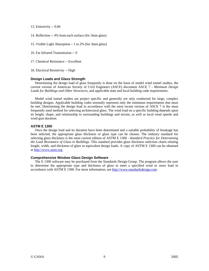13. Emissivity -- 0.84

- 14. Reflection -- 4% from each surface (for 3mm glass)
- 15. Visible Light Absorption 1 to 2% (for 3mm glass)
- 16. Far Infrared Transmission -- 0
- 17. Chemical Resistance -- Excellent

18. Electrical Resistivity -- High

#### **Design Loads and Glass Strength**

 Determining the design load of glass frequently is done on the basis of model wind tunnel studies, the current version of American Society of Civil Engineers (ASCE) document ASCE 7 - *Minimum Design Loads for Buildings and Other Structures*, and applicable state and local building code requirements.

 Model wind tunnel studies are project specific and generally are only conducted for large, complex building designs. Applicable building codes normally represent only the minimum requirements that must be met. Determining the design load in accordance with the most recent version of ASCE 7 is the most frequently used method for selecting architectural glass. The wind load on a specific building depends upon its height, shape, and relationship to surrounding buildings and terrain, as well as local wind speeds and wind gust duration.

## **ASTM E 1300**

 Once the design load and its duration have been determined and a suitable probability of breakage has been selected, the appropriate glass thickness or glass type can be chosen. The industry standard for selecting glass thickness is the most current edition of ASTM E 1300 - *Standard Practice for Determining the Load Resistance of Glass in Buildings*. This standard provides glass thickness selection charts relating length, width, and thickness of glass to equivalent design loads. A copy of ASTM E 1300 can be obtained at http://www.astm.org.

#### **Comprehensive Window Glass Design Software**

 The E 1300 software may be purchased from the Standards Design Group. The program allows the user to determine the appropriate type and thickness of glass to meet a specified wind or snow load in accordance with ASTM E 1300. For more information, see http://www.standardsdesign.com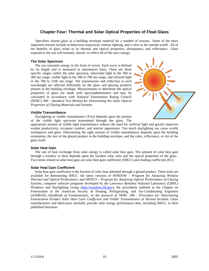# **Chapter Four: Thermal and Solar Optical Properties of Float Glass**

 Specifiers choose glass as a building envelope material for a number of reasons. Some of the more important reasons include architectural expression, interior lighting, and a view to the outside world. All of the benefits of glass relate to its thermal and optical properties, absorptance, and reflectance. Glass exposed to the sun will transmit, absorb, or reflect all of the sun's energy.

## **The Solar Spectrum**

 The sun transmits energy in the form of waves. Each wave is defined by its length and is measured in nanometers (nm). There are three specific ranges within the solar spectrum: ultraviolet light in the 300 to 380 nm range, visible light in the 380 to 780 nm range, and infrared light in the 780 to 2100 nm range. The transmission and reflection at each wavelength are affected differently by the glass and glazing products present in the building envelope. Measurements to determine the optical properties of glass are made with spectrophotometers and may be calculated in accordance with National Fenestration Rating Council (NFRC) 300 - *Standard Test Method for Determining the Solar Optical Properties of Glazing Materials and Systems*.

#### **Visible Transmittance**

 Daylighting or visible transmittance (Tvis) depends upon the portion of the visible light spectrum transmitted through the glass. The



appropriate amount of visible light transmittance reduces the need for artificial light and greatly improves worker productivity, occupant comfort, and interior appearance. Too much daylighting can cause overlit workspaces and glare. Determining the right amount of visible transmittance depends upon the building orientation, the size of the glazed product in the building envelope, and the color, reflectance, or tint of the glass itself.

## **Solar Heat Gain**

 The rate of heat exchange from solar energy is called solar heat gain. The amount of solar heat gain through a window or door depends upon the incident solar ratio and the optical properties of the glass. Two terms related to solar heat gain are solar heat gain coefficient (SHGC) and shading coefficient (SC).

## **Solar Heat Gain Coefficient**

 Solar heat gain coefficient is the fraction of solar heat admitted through a glazed product. Three tools are available for determining SHGC: the latest versions of *WINDOW* – *Program for Analyzing Window Thermal and Optical Performance* and *OPTICS – Program for Analyzing Optical Performance of Glazing Systems,* computer software programs developed by the Lawrence Berkeley National Laboratory (LBNL) Windows and Daylighting Group (http://windows.lbl.gov); the procedures outlined in the Chapter on Fenestration in the American Society of Heating, Refrigerating, and Air-Conditioning Engineers (ASHRAE) *Handbook of Fundamentals;* or the protocol of NFRC 200 - *Procedure for Determining Fenestration Product Solar Heat Gain Coefficient and Visible Transmittance at Normal Incident*. Glass manufacturers and fabricators normally provide solar energy performance data, including SHGC, in their published literature.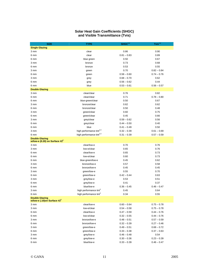#### **Solar Heat Gain Coefficients (SHGC) and Visible Transmittance (Tvis)**

| <b>SIZE</b>                      | <b>TYPE</b>                          | SHGC <sup>1,2</sup> | Tvis <sup>1,2</sup> |
|----------------------------------|--------------------------------------|---------------------|---------------------|
| <b>Single Glazing</b>            |                                      |                     |                     |
| 3 mm                             | clear                                | 0.86                | 0.90                |
| 6 mm                             | clear                                | $0.81 - 0.83$       | 0.89                |
| 6 mm                             | blue green                           | 0.50                | 0.67                |
| 3 mm                             | bronze                               | 0.73                | 0.68                |
| 6 mm                             | bronze                               | 0.53                | 0.55                |
| 3 mm                             | green                                | 0.70                | $0.82 - 0.84$       |
| 6 mm                             | green                                | $0.58 - 0.60$       | $0.74 - 0.76$       |
| 3 mm                             | grey                                 | $0.68 - 0.70$       | 0.62                |
| 6 mm                             | grey                                 | $0.56 - 0.62$       | 0.44                |
| 6 mm                             | blue                                 | $0.53 - 0.61$       | $0.56 - 0.57$       |
| <b>Double Glazing</b>            |                                      |                     |                     |
| 3 mm                             | clear/clear                          | 0.76                | 0.82                |
| 6 mm                             | clear/clear                          | 0.71                | $0.78 - 0.80$       |
| 6 mm                             | blue-green/clear                     | 0.50                | 0.67                |
| 3 mm                             | bronze/clear                         | 0.62                | 0.62                |
| 6 mm                             | bronze/clear                         | 0.50                | 0.48                |
| 3 mm                             | green/clear                          | 0.60                | 0.75                |
| 6 mm                             | green/clear                          | 0.45                | 0.66                |
| 3 mm                             | grey/clear                           | $0.59 - 0.62$       | 0.56                |
| 6 mm                             | grey/clear                           | $0.44 - 0.50$       | 0.40                |
| 6 mm                             | blue                                 | $0.41 - 0.49$       | 0.50                |
| 3 mm                             | high performance tint <sup>2,3</sup> | $0.32 - 0.39$       | $0.61 - 0.69$       |
| 6 mm                             | high performance tint <sup>2,3</sup> | $0.31 - 0.39$       | $0.57 - 0.59$       |
| <b>Double Glazing</b>            |                                      |                     |                     |
| w/low-e (0.20) on Surface $#2^2$ |                                      |                     |                     |
| 3 mm                             | clear/low-e                          | 0.70                | 0.76                |
| 3 mm                             | low-e/clear                          | 0.65                | 0.76                |
| 6 mm                             | clear/low-e                          | 0.65                | 0.73                |
| 6 mm                             | low-e/clear                          | 0.60                | 0.73                |
| 6 mm                             | blue-green/low-e                     | 0.45                | 0.62                |
| 3 mm                             | bronze/low-e                         | 0.57                | 0.58                |
| 6 mm                             | bronze/low-e                         | 0.45                | 0.45                |
| 3 mm                             | green/low-e                          | 0.55                | 0.70                |
| 6 mm                             | green/low-e                          | $0.42 - 0.44$       | 0.63                |
| 3 mm                             | grey/low-e                           | 0.53                | 0.51                |
| 6 mm                             | grey/low-e                           | 0.41                | 0.37                |
| 6 mm                             | blue/low-e                           | $0.36 - 0.45$       | $0.46 - 0.47$       |
| 3 mm                             | high performance tint <sup>3</sup>   | 0.45                | 0.64                |
| 6 mm                             | high performance tint <sup>3</sup>   | 0.34                | 0.55                |
| <b>Double Glazing</b>            |                                      |                     |                     |
| w/low-e (.10) on Surface $\#2^2$ |                                      |                     |                     |
| 3 mm                             | clear/low-e                          | $0.60 - 0.64$       | $0.75 - 0.78$       |
| 3 mm                             | low-e/clear                          | $0.54 - 0.58$       | $0.75 - 0.78$       |
| 6 mm                             | clear/low-e                          | $0.47 - 0.59$       | $0.44 - 0.76$       |
| 6 mm                             | low-e/clear                          | $0.32 - 0.55$       | $0.44 - 0.76$       |
| 3 mm                             | bronze/low-e                         | $0.48 - 0.51$       | $0.57 - 0.59$       |
| 6 mm                             | bronze/low-e                         | $0.32 - 0.39$       | $0.27 - 0.46$       |
| 3 mm                             | green/low-e                          | $0.49 - 0.51$       | $0.68 - 0.72$       |
| 6 mm                             | green/low-e                          | $0.33 - 0.38$       | $0.37 - 0.63$       |
| 3 mm                             | grey/low-e                           | $0.46 - 0.48$       | 0.54                |
| 6 mm                             | grey/low-e                           | $0.30 - 0.36$       | $0.23 - 0.39$       |
| 6 mm                             | blue/low-e                           | $0.33 - 0.39$       | $0.46 - 0.47$       |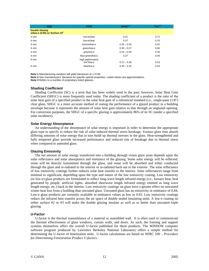| <b>SIZE</b>                                               | <b>TYPE</b>                       | SHGC <sup>1,2</sup> | Tvis <sup>1,2</sup> |
|-----------------------------------------------------------|-----------------------------------|---------------------|---------------------|
| <b>Double Glazing</b><br>w/low-e (0.05) on Surface $#2^2$ |                                   |                     |                     |
| 3 mm                                                      | low-e/clear                       | 0.41                | 0.72                |
| 6 mm                                                      | low-e/clear                       | 0.37                | 0.70                |
| 6 mm                                                      | bronze/low-e                      | $0.26 - 0.33$       | 0.42                |
| 6 mm                                                      | green/low-e                       | $0.30 - 0.37$       | 0.60                |
| 6 mm                                                      | grey/low-e                        | $0.24 - 0.30$       | 0.35                |
| 6 mm                                                      | blue-green/low-e                  | 0.27                | 0.45                |
| 6 mm                                                      | high performance<br>$tint3/low-e$ | $0.27 - 0.30$       | 0.53                |
| 6 mm                                                      | blue/low-e                        | $0.30 - 0.33$       | 0.44                |

**Note 1** Manufacturing variation will yield tolerances of +/-0.06.

**Note 2** See manufacturers' literature for specific optical properties. Listed values are approximations. **Note 3** Refers to a number of proprietary tinted glasses.

#### **Shading Coefficient**

 Shading Coefficient (SC) is a term that has been widely used in the past; however, Solar Heat Gain Coefficient (SHGC) is more frequently used today. The shading coefficient of a product is the ratio of the solar heat gain of a specified product to the solar heat gain of a referenced standard (i.e., single-pane (1/8") clear glass. SHGC is a more accurate method of stating the performance of a glazed product in a building envelope because it represents the amount of solar heat gain relative to that through an unglazed opening. For conversion purposes, the SHGC of a specific glazing is approximately 86% of its SC (under a specified solar incidence).

#### **Solar Energy Absorptance**

 An understanding of the absorptance of solar energy is important in order to determine the appropriate glass type to specify to reduce the risk of solar-induced thermal stress breakage. Various glass tints absorb differing amounts of solar energy that in turn build up thermal stresses in the glass. Heat-strengthened and fully tempered glass provide increased performance and reduced risk of breakage due to thermal stress when compared to annealed glass.

#### **Glazing Emissivity**

 The net amount of solar energy transferred into a building through vision glass areas depends upon the solar reflectance and solar absorptance and emittance of the glazing. Some solar energy will be reflected, some will be directly transmitted through the glass, and some will be absorbed and either conducted through the glass and re-radiated to the interior or re-radiated back out to the exterior. The solar reflectance of low emissivity coatings further reduces solar heat transfer to the interior. Solar reflectances range from minimal to significant, depending upon the type and nature of the low emissivity coating. Low emissivity (or low-e) glass products are formulated to reflect long-wave length infrared energy (i.e., furnace heat, heat generated by people, artificial lights, absorbed shortwave length infrared energy emitted as long wave length energy, etc.) back to the interior. Low emissivity coatings on glass have a greater effect on unwanted winter heat loss from a building than uncoated glass. Uncoated glass has an emissivity or emittance of 0.84. Low-e glass products are currently available in emittance values as low as 0.03. Low emissivity coatings reduce the infrared heat transfer across the air space of double sealed insulating units. A low-e coating on either surface #2 or #3 will make the double glazing insulate as well as or better than uncoated triple glazing.

#### **U-Factor**

 U-factor is the thermal transmittance of a material or assembled wall. It is often used to communicate the thermal effectiveness of glass windows, curtain walls, and doors. As such, the framing and support systems themselves affect the overall U-factor published for these products. The *WINDOW* computer software program produced by Lawrence Berkeley National Laboratory offers a simple method for determining the U-factor of fenestration units. U-factor calculations are based on NFRC 100 – *Procedure for Determining Fenestration Product U-factors.*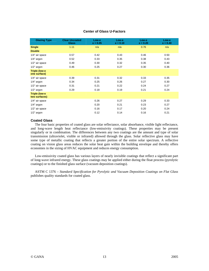|  |  |  | <b>Center of Glass U-Factors</b> |
|--|--|--|----------------------------------|
|--|--|--|----------------------------------|

| <b>Glazing Type</b>                   | <b>Clear Uncoated</b><br><b>Glass</b> | Low-e<br>$e = 0.05$ | Low-e<br>$e = 0.10$ | Low-e<br>$e = 0.20$ | Low-e<br>$e = 0.40$ |
|---------------------------------------|---------------------------------------|---------------------|---------------------|---------------------|---------------------|
| <b>Single</b>                         | 1.11                                  | n/a                 | n/a                 | 0.76                | n/a                 |
| <b>Double</b>                         |                                       |                     |                     |                     |                     |
| 1/4" air space                        | 0.57                                  | 0.42                | 0.43                | 0.46                | 0.50                |
| 1/4" argon                            | 0.52                                  | 0.33                | 0.35                | 0.38                | 0.43                |
| 1/2" air space                        | 0.49                                  | 0.30                | 0.32                | 0.35                | 0.40                |
| $1/2$ " argon                         | 0.46                                  | 0.25                | 0.27                | 0.30                | 0.36                |
| <b>Triple (low-e</b><br>one surface)  |                                       |                     |                     |                     |                     |
| 1/4" air space                        | 0.39                                  | 0.31                | 0.32                | 0.33                | 0.35                |
| $1/4"$ argon                          | 0.34                                  | 0.25                | 0.26                | 0.27                | 0.30                |
| 1/2" air space                        | 0.31                                  | 0.21                | 0.22                | 0.24                | 0.27                |
| $1/2$ " argon                         | 0.29                                  | 0.18                | 0.19                | 0.21                | 0.24                |
| <b>Triple (low-e</b><br>two surfaces) |                                       |                     |                     |                     |                     |
| 1/4" air space                        |                                       | 0.26                | 0.27                | 0.29                | 0.33                |
| $1/4"$ argon                          |                                       | 0.20                | 0.21                | 0.23                | 0.27                |
| 1/2" air space                        |                                       | 0.16                | 0.17                | 0.20                | 0.24                |
| $1/2"$ argon                          |                                       | 0.12                | 0.14                | 0.16                | 0.21                |

## **Coated Glass**

 The four basic properties of coated glass are solar reflectance, solar absorbance, visible light reflectance, and long-wave length heat reflectance (low-emissivity coatings). These properties may be present singularly or in combination. The differences between any two coatings are the amount and type of solar transmission (ultraviolet, visible or infrared) allowed through the glass. Solar reflective glass may have some type of metallic coating that reflects a greater portion of the entire solar spectrum. A reflective coating on vision glass areas reduces the solar heat gain within the building envelope and thereby offers economies in the sizing of HVAC equipment and reduces energy consumption.

 Low-emissivity coated glass has various layers of nearly invisible coatings that reflect a significant part of long-wave infrared energy. These glass coatings may be applied either during the float process (pyrolytic coatings) or to the finished glass surface (vacuum deposition coatings).

 ASTM C 1376 – *Standard Specification for Pyrolytic and Vacuum Deposition Coatings on Flat Glass* publishes quality standards for coated glass*.*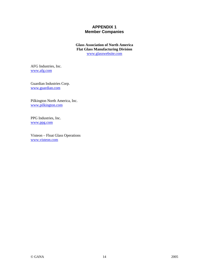# **APPENDIX 1 Member Companies**

**Glass Association of North America Flat Glass Manufacturing Division**  www.glasswebsite.com

AFG Industries, Inc. www.afg.com

Guardian Industries Corp. www.guardian.com

Pilkington North America, Inc. www.pilkington.com

PPG Industries, Inc. www.ppg.com

Visteon – Float Glass Operations www.visteon.com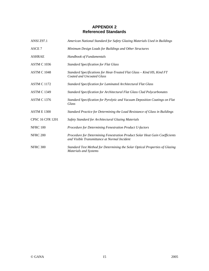# **APPENDIX 2 Referenced Standards**

| <b>ANSI Z97.1</b>       | American National Standard for Safety Glazing Materials Used in Buildings                                                   |
|-------------------------|-----------------------------------------------------------------------------------------------------------------------------|
| ASCE <sub>7</sub>       | Minimum Design Loads for Buildings and Other Structures                                                                     |
| <b>ASHRAE</b>           | Handbook of Fundamentals                                                                                                    |
| <b>ASTM C 1036</b>      | <b>Standard Specification for Flat Glass</b>                                                                                |
| <b>ASTM C 1048</b>      | Standard Specifications for Heat-Treated Flat Glass - Kind HS, Kind FT<br><b>Coated and Uncoated Glass</b>                  |
| <b>ASTM C 1172</b>      | <b>Standard Specification for Laminated Architectural Flat Glass</b>                                                        |
| <b>ASTM C 1349</b>      | Standard Specification for Architectural Flat Glass Clad Polycarbonates                                                     |
| <b>ASTM C 1376</b>      | Standard Specification for Pyrolytic and Vacuum Deposition Coatings on Flat<br>Glass                                        |
| <b>ASTM E 1300</b>      | Standard Practice for Determining the Load Resistance of Glass in Buildings                                                 |
| <b>CPSC 16 CFR 1201</b> | Safety Standard for Architectural Glazing Materials                                                                         |
| <b>NFRC 100</b>         | Procedure for Determining Fenestration Product U-factors                                                                    |
| <b>NFRC 200</b>         | Procedure for Determining Fenestration Product Solar Heat Gain Coefficients<br>and Visible Transmittance at Normal Incident |
| <b>NFRC 300</b>         | Standard Test Method for Determining the Solar Optical Properties of Glazing<br><b>Materials and Systems</b>                |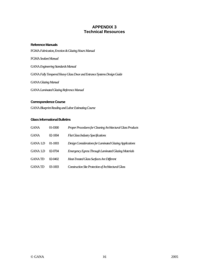# **APPENDIX 3 Technical Resources**

#### **Reference Manuals**

FGMA *Fabrication, Erection & Glazing Hours Manual* 

FGMA *Sealant Manual*

GANA *Engineering Standards Manual*

GANA *Fully Tempered Heavy Glass Door and Entrance Systems Design Guide* 

GANA *Glazing Manual*

GANA *Laminated Glazing Reference Manual*

# **Correspondence Course**

GANA *Blueprint Reading and Labor Estimating Course*

# **Glass Informational Bulletins**

| <b>GANA</b>   | 01-0300   | Proper Procedures for Cleaning Architectural Glass Products |
|---------------|-----------|-------------------------------------------------------------|
| <b>GANA</b>   | $02-1004$ | <b>Flat Glass Industry Specifications</b>                   |
| <b>GANALD</b> | $01-1003$ | Design Considerations for Laminated Glazing Applications    |
| <b>GANALD</b> | 02-0704   | Emergency Egress Through Laminated Glazing Materials        |
| <b>GANATD</b> | 02-0402   | Heat-Treated Glass Surfaces Are Different                   |
| <b>GANATD</b> | 03-1003   | Construction Site Protection of Architectural Glass         |